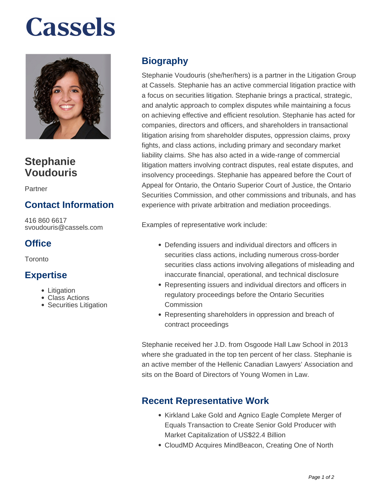# **Cassels**



### **Stephanie Voudouris**

Partner

### **Contact Information**

416 860 6617 svoudouris@cassels.com

#### **Office**

**Toronto** 

#### **Expertise**

- Litigation
- Class Actions
- Securities Litigation

### **Biography**

Stephanie Voudouris (she/her/hers) is a partner in the Litigation Group at Cassels. Stephanie has an active commercial litigation practice with a focus on securities litigation. Stephanie brings a practical, strategic, and analytic approach to complex disputes while maintaining a focus on achieving effective and efficient resolution. Stephanie has acted for companies, directors and officers, and shareholders in transactional litigation arising from shareholder disputes, oppression claims, proxy fights, and class actions, including primary and secondary market liability claims. She has also acted in a wide-range of commercial litigation matters involving contract disputes, real estate disputes, and insolvency proceedings. Stephanie has appeared before the Court of Appeal for Ontario, the Ontario Superior Court of Justice, the Ontario Securities Commission, and other commissions and tribunals, and has experience with private arbitration and mediation proceedings.

Examples of representative work include:

- Defending issuers and individual directors and officers in securities class actions, including numerous cross-border securities class actions involving allegations of misleading and inaccurate financial, operational, and technical disclosure
- Representing issuers and individual directors and officers in regulatory proceedings before the Ontario Securities Commission
- Representing shareholders in oppression and breach of contract proceedings

Stephanie received her J.D. from Osgoode Hall Law School in 2013 where she graduated in the top ten percent of her class. Stephanie is an active member of the Hellenic Canadian Lawyers' Association and sits on the Board of Directors of Young Women in Law.

#### **Recent Representative Work**

- Kirkland Lake Gold and Agnico Eagle Complete Merger of Equals Transaction to Create Senior Gold Producer with Market Capitalization of US\$22.4 Billion
- CloudMD Acquires MindBeacon, Creating One of North